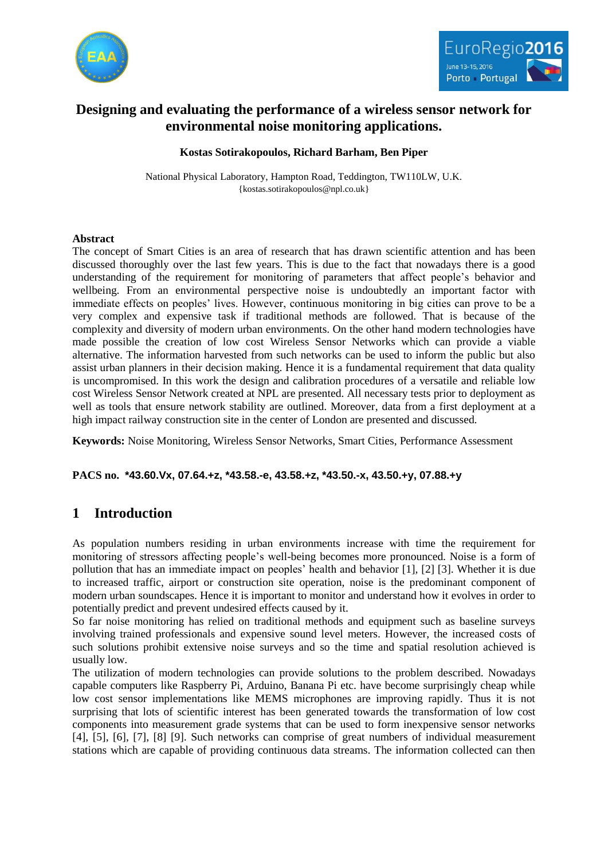



# **Designing and evaluating the performance of a wireless sensor network for environmental noise monitoring applications.**

### **Kostas Sotirakopoulos, Richard Barham, Ben Piper**

National Physical Laboratory, Hampton Road, Teddington, TW110LW, U.K. {kostas.sotirakopoulos@npl.co.uk}

#### **Abstract**

The concept of Smart Cities is an area of research that has drawn scientific attention and has been discussed thoroughly over the last few years. This is due to the fact that nowadays there is a good understanding of the requirement for monitoring of parameters that affect people's behavior and wellbeing. From an environmental perspective noise is undoubtedly an important factor with immediate effects on peoples' lives. However, continuous monitoring in big cities can prove to be a very complex and expensive task if traditional methods are followed. That is because of the complexity and diversity of modern urban environments. On the other hand modern technologies have made possible the creation of low cost Wireless Sensor Networks which can provide a viable alternative. The information harvested from such networks can be used to inform the public but also assist urban planners in their decision making. Hence it is a fundamental requirement that data quality is uncompromised. In this work the design and calibration procedures of a versatile and reliable low cost Wireless Sensor Network created at NPL are presented. All necessary tests prior to deployment as well as tools that ensure network stability are outlined. Moreover, data from a first deployment at a high impact railway construction site in the center of London are presented and discussed.

**Keywords:** Noise Monitoring, Wireless Sensor Networks, Smart Cities, Performance Assessment

**PACS no. \*43.60.Vx, 07.64.+z, \*43.58.-e, 43.58.+z, \*43.50.-x, 43.50.+y, 07.88.+y**

## **1 Introduction**

As population numbers residing in urban environments increase with time the requirement for monitoring of stressors affecting people's well-being becomes more pronounced. Noise is a form of pollution that has an immediate impact on peoples' health and behavior [1], [2] [3]. Whether it is due to increased traffic, airport or construction site operation, noise is the predominant component of modern urban soundscapes. Hence it is important to monitor and understand how it evolves in order to potentially predict and prevent undesired effects caused by it.

So far noise monitoring has relied on traditional methods and equipment such as baseline surveys involving trained professionals and expensive sound level meters. However, the increased costs of such solutions prohibit extensive noise surveys and so the time and spatial resolution achieved is usually low.

The utilization of modern technologies can provide solutions to the problem described. Nowadays capable computers like Raspberry Pi, Arduino, Banana Pi etc. have become surprisingly cheap while low cost sensor implementations like MEMS microphones are improving rapidly. Thus it is not surprising that lots of scientific interest has been generated towards the transformation of low cost components into measurement grade systems that can be used to form inexpensive sensor networks [4], [5], [6], [7], [8] [9]. Such networks can comprise of great numbers of individual measurement stations which are capable of providing continuous data streams. The information collected can then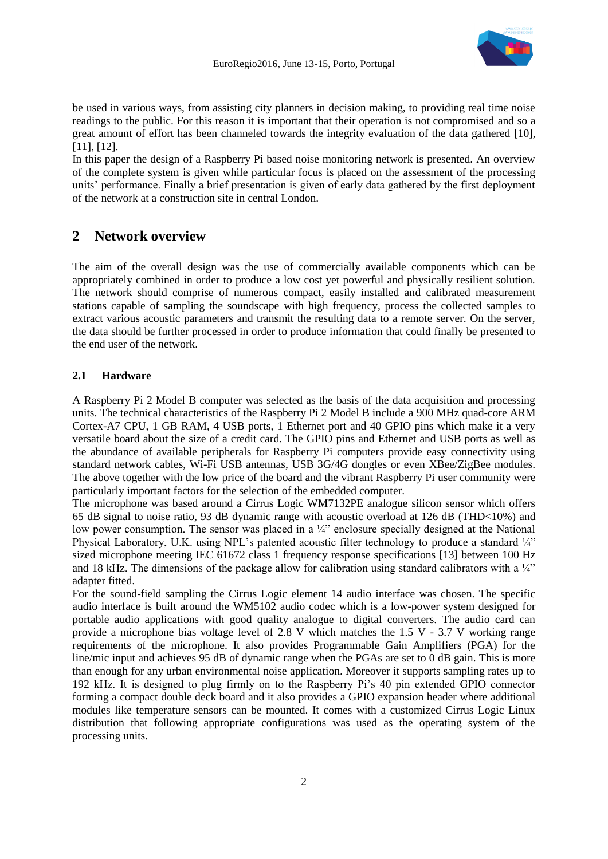

be used in various ways, from assisting city planners in decision making, to providing real time noise readings to the public. For this reason it is important that their operation is not compromised and so a great amount of effort has been channeled towards the integrity evaluation of the data gathered [10], [11], [12].

In this paper the design of a Raspberry Pi based noise monitoring network is presented. An overview of the complete system is given while particular focus is placed on the assessment of the processing units' performance. Finally a brief presentation is given of early data gathered by the first deployment of the network at a construction site in central London.

### **2 Network overview**

The aim of the overall design was the use of commercially available components which can be appropriately combined in order to produce a low cost yet powerful and physically resilient solution. The network should comprise of numerous compact, easily installed and calibrated measurement stations capable of sampling the soundscape with high frequency, process the collected samples to extract various acoustic parameters and transmit the resulting data to a remote server. On the server, the data should be further processed in order to produce information that could finally be presented to the end user of the network.

#### **2.1 Hardware**

A Raspberry Pi 2 Model B computer was selected as the basis of the data acquisition and processing units. The technical characteristics of the Raspberry Pi 2 Model B include a 900 MHz quad-core ARM Cortex-A7 CPU, 1 GB RAM, 4 USB ports, 1 Ethernet port and 40 GPIO pins which make it a very versatile board about the size of a credit card. The GPIO pins and Ethernet and USB ports as well as the abundance of available peripherals for Raspberry Pi computers provide easy connectivity using standard network cables, Wi-Fi USB antennas, USB 3G/4G dongles or even XBee/ZigBee modules. The above together with the low price of the board and the vibrant Raspberry Pi user community were particularly important factors for the selection of the embedded computer.

The microphone was based around a Cirrus Logic WM7132PE analogue silicon sensor which offers 65 dB signal to noise ratio, 93 dB dynamic range with acoustic overload at 126 dB (THD<10%) and low power consumption. The sensor was placed in a  $\frac{1}{4}$  enclosure specially designed at the National Physical Laboratory, U.K. using NPL's patented acoustic filter technology to produce a standard  $\frac{1}{4}$ " sized microphone meeting IEC 61672 class 1 frequency response specifications [13] between 100 Hz and 18 kHz. The dimensions of the package allow for calibration using standard calibrators with a  $\frac{1}{4}$ " adapter fitted.

For the sound-field sampling the Cirrus Logic element 14 audio interface was chosen. The specific audio interface is built around the WM5102 audio codec which is a low-power system designed for portable audio applications with good quality analogue to digital converters. The audio card can provide a microphone bias voltage level of 2.8 V which matches the 1.5 V - 3.7 V working range requirements of the microphone. It also provides Programmable Gain Amplifiers (PGA) for the line/mic input and achieves 95 dB of dynamic range when the PGAs are set to 0 dB gain. This is more than enough for any urban environmental noise application. Moreover it supports sampling rates up to 192 kHz. It is designed to plug firmly on to the Raspberry Pi's 40 pin extended GPIO connector forming a compact double deck board and it also provides a GPIO expansion header where additional modules like temperature sensors can be mounted. It comes with a customized Cirrus Logic Linux distribution that following appropriate configurations was used as the operating system of the processing units.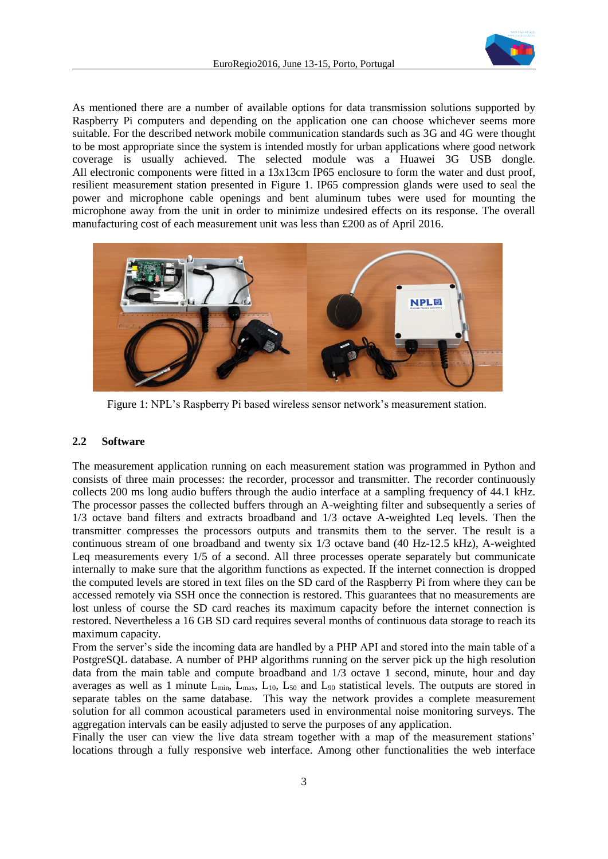

As mentioned there are a number of available options for data transmission solutions supported by Raspberry Pi computers and depending on the application one can choose whichever seems more suitable. For the described network mobile communication standards such as 3G and 4G were thought to be most appropriate since the system is intended mostly for urban applications where good network coverage is usually achieved. The selected module was a Huawei 3G USB dongle. All electronic components were fitted in a 13x13cm IP65 enclosure to form the water and dust proof, resilient measurement station presented in [Figure 1.](#page-2-0) IP65 compression glands were used to seal the power and microphone cable openings and bent aluminum tubes were used for mounting the microphone away from the unit in order to minimize undesired effects on its response. The overall manufacturing cost of each measurement unit was less than £200 as of April 2016.



Figure 1: NPL's Raspberry Pi based wireless sensor network's measurement station.

#### <span id="page-2-0"></span>**2.2 Software**

The measurement application running on each measurement station was programmed in Python and consists of three main processes: the recorder, processor and transmitter. The recorder continuously collects 200 ms long audio buffers through the audio interface at a sampling frequency of 44.1 kHz. The processor passes the collected buffers through an A-weighting filter and subsequently a series of 1/3 octave band filters and extracts broadband and 1/3 octave A-weighted Leq levels. Then the transmitter compresses the processors outputs and transmits them to the server. The result is a continuous stream of one broadband and twenty six 1/3 octave band (40 Hz-12.5 kHz), A-weighted Leq measurements every 1/5 of a second. All three processes operate separately but communicate internally to make sure that the algorithm functions as expected. If the internet connection is dropped the computed levels are stored in text files on the SD card of the Raspberry Pi from where they can be accessed remotely via SSH once the connection is restored. This guarantees that no measurements are lost unless of course the SD card reaches its maximum capacity before the internet connection is restored. Nevertheless a 16 GB SD card requires several months of continuous data storage to reach its maximum capacity.

From the server's side the incoming data are handled by a PHP API and stored into the main table of a PostgreSQL database. A number of PHP algorithms running on the server pick up the high resolution data from the main table and compute broadband and 1/3 octave 1 second, minute, hour and day averages as well as 1 minute  $L_{min}$ ,  $L_{max}$ ,  $L_{10}$ ,  $L_{50}$  and  $L_{90}$  statistical levels. The outputs are stored in separate tables on the same database. This way the network provides a complete measurement solution for all common acoustical parameters used in environmental noise monitoring surveys. The aggregation intervals can be easily adjusted to serve the purposes of any application.

Finally the user can view the live data stream together with a map of the measurement stations' locations through a fully responsive web interface. Among other functionalities the web interface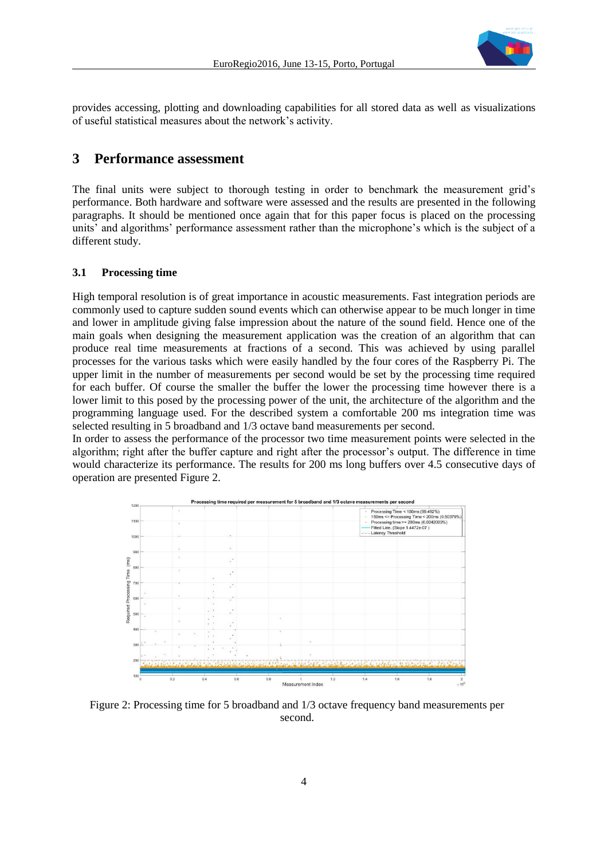

provides accessing, plotting and downloading capabilities for all stored data as well as visualizations of useful statistical measures about the network's activity.

### **3 Performance assessment**

The final units were subject to thorough testing in order to benchmark the measurement grid's performance. Both hardware and software were assessed and the results are presented in the following paragraphs. It should be mentioned once again that for this paper focus is placed on the processing units' and algorithms' performance assessment rather than the microphone's which is the subject of a different study.

#### **3.1 Processing time**

High temporal resolution is of great importance in acoustic measurements. Fast integration periods are commonly used to capture sudden sound events which can otherwise appear to be much longer in time and lower in amplitude giving false impression about the nature of the sound field. Hence one of the main goals when designing the measurement application was the creation of an algorithm that can produce real time measurements at fractions of a second. This was achieved by using parallel processes for the various tasks which were easily handled by the four cores of the Raspberry Pi. The upper limit in the number of measurements per second would be set by the processing time required for each buffer. Of course the smaller the buffer the lower the processing time however there is a lower limit to this posed by the processing power of the unit, the architecture of the algorithm and the programming language used. For the described system a comfortable 200 ms integration time was selected resulting in 5 broadband and 1/3 octave band measurements per second.

In order to assess the performance of the processor two time measurement points were selected in the algorithm; right after the buffer capture and right after the processor's output. The difference in time would characterize its performance. The results for 200 ms long buffers over 4.5 consecutive days of operation are presented [Figure 2.](#page-3-0)



<span id="page-3-0"></span>Figure 2: Processing time for 5 broadband and 1/3 octave frequency band measurements per second.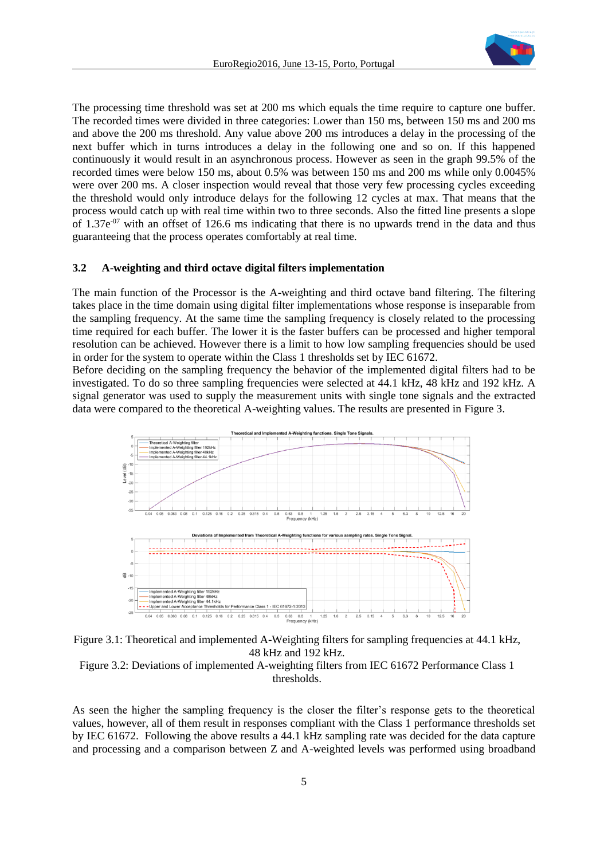

The processing time threshold was set at 200 ms which equals the time require to capture one buffer. The recorded times were divided in three categories: Lower than 150 ms, between 150 ms and 200 ms and above the 200 ms threshold. Any value above 200 ms introduces a delay in the processing of the next buffer which in turns introduces a delay in the following one and so on. If this happened continuously it would result in an asynchronous process. However as seen in the graph 99.5% of the recorded times were below 150 ms, about 0.5% was between 150 ms and 200 ms while only 0.0045% were over 200 ms. A closer inspection would reveal that those very few processing cycles exceeding the threshold would only introduce delays for the following 12 cycles at max. That means that the process would catch up with real time within two to three seconds. Also the fitted line presents a slope of  $1.37e^{-07}$  with an offset of 126.6 ms indicating that there is no upwards trend in the data and thus guaranteeing that the process operates comfortably at real time.

#### **3.2 A-weighting and third octave digital filters implementation**

The main function of the Processor is the A-weighting and third octave band filtering. The filtering takes place in the time domain using digital filter implementations whose response is inseparable from the sampling frequency. At the same time the sampling frequency is closely related to the processing time required for each buffer. The lower it is the faster buffers can be processed and higher temporal resolution can be achieved. However there is a limit to how low sampling frequencies should be used in order for the system to operate within the Class 1 thresholds set by IEC 61672.

Before deciding on the sampling frequency the behavior of the implemented digital filters had to be investigated. To do so three sampling frequencies were selected at 44.1 kHz, 48 kHz and 192 kHz. A signal generator was used to supply the measurement units with single tone signals and the extracted data were compared to the theoretical A-weighting values. The results are presented in [Figure 3.](#page-4-0)



<span id="page-4-0"></span>Figure 3.1: Theoretical and implemented A-Weighting filters for sampling frequencies at 44.1 kHz, 48 kHz and 192 kHz.

Figure 3.2: Deviations of implemented A-weighting filters from IEC 61672 Performance Class 1 thresholds.

As seen the higher the sampling frequency is the closer the filter's response gets to the theoretical values, however, all of them result in responses compliant with the Class 1 performance thresholds set by IEC 61672. Following the above results a 44.1 kHz sampling rate was decided for the data capture and processing and a comparison between Z and A-weighted levels was performed using broadband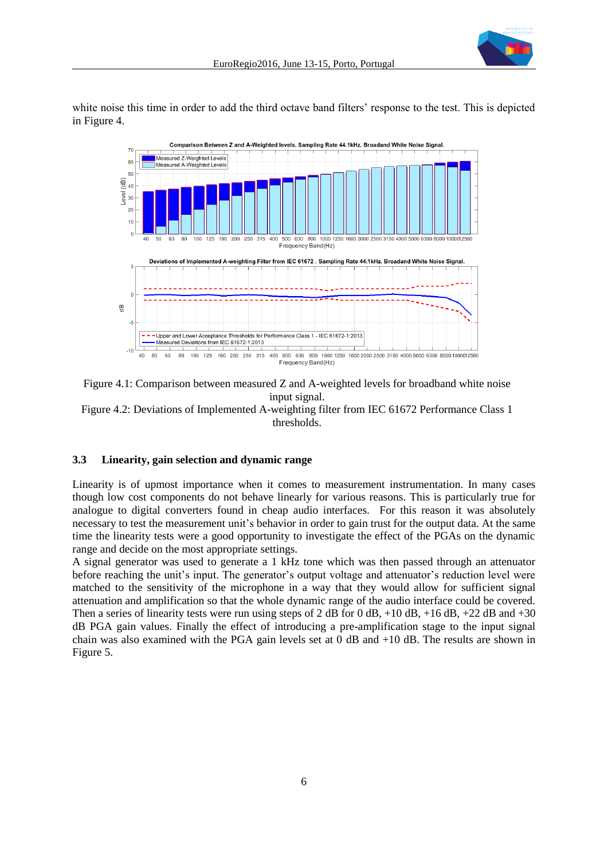

white noise this time in order to add the third octave band filters' response to the test. This is depicted in [Figure 4.](#page-5-0)



<span id="page-5-0"></span>Figure 4.1: Comparison between measured Z and A-weighted levels for broadband white noise input signal. Figure 4.2: Deviations of Implemented A-weighting filter from IEC 61672 Performance Class 1 thresholds.

#### **3.3 Linearity, gain selection and dynamic range**

Linearity is of upmost importance when it comes to measurement instrumentation. In many cases though low cost components do not behave linearly for various reasons. This is particularly true for analogue to digital converters found in cheap audio interfaces. For this reason it was absolutely necessary to test the measurement unit's behavior in order to gain trust for the output data. At the same time the linearity tests were a good opportunity to investigate the effect of the PGAs on the dynamic range and decide on the most appropriate settings.

A signal generator was used to generate a 1 kHz tone which was then passed through an attenuator before reaching the unit's input. The generator's output voltage and attenuator's reduction level were matched to the sensitivity of the microphone in a way that they would allow for sufficient signal attenuation and amplification so that the whole dynamic range of the audio interface could be covered. Then a series of linearity tests were run using steps of 2 dB for 0 dB, +10 dB, +16 dB, +22 dB and +30 dB PGA gain values. Finally the effect of introducing a pre-amplification stage to the input signal chain was also examined with the PGA gain levels set at 0 dB and +10 dB. The results are shown in [Figure 5.](#page-6-0)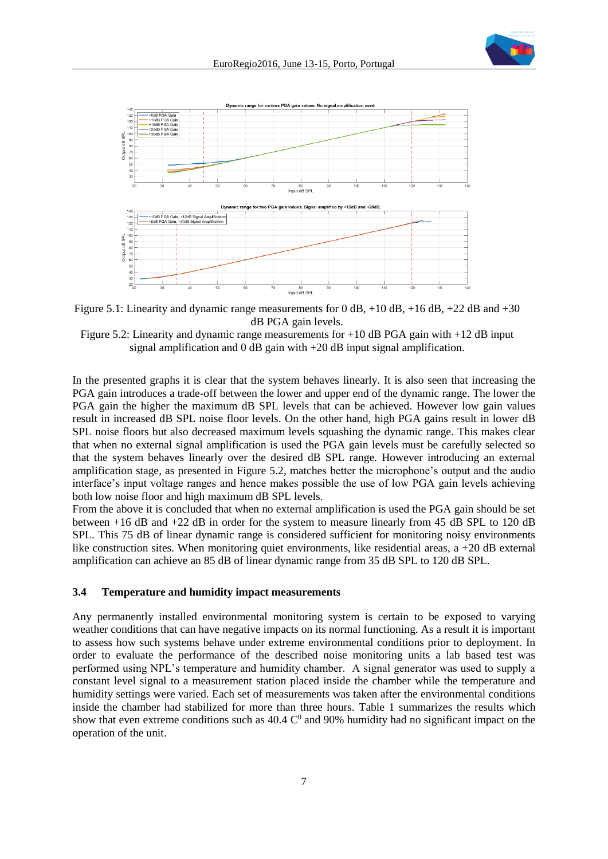



<span id="page-6-0"></span>Figure 5.1: Linearity and dynamic range measurements for 0 dB,  $+10$  dB,  $+16$  dB,  $+22$  dB and  $+30$ dB PGA gain levels.

Figure 5.2: Linearity and dynamic range measurements for  $+10$  dB PGA gain with  $+12$  dB input signal amplification and 0 dB gain with +20 dB input signal amplification.

In the presented graphs it is clear that the system behaves linearly. It is also seen that increasing the PGA gain introduces a trade-off between the lower and upper end of the dynamic range. The lower the PGA gain the higher the maximum dB SPL levels that can be achieved. However low gain values result in increased dB SPL noise floor levels. On the other hand, high PGA gains result in lower dB SPL noise floors but also decreased maximum levels squashing the dynamic range. This makes clear that when no external signal amplification is used the PGA gain levels must be carefully selected so that the system behaves linearly over the desired dB SPL range. However introducing an external amplification stage, as presented in [Figure 5.](#page-6-0)2, matches better the microphone's output and the audio interface's input voltage ranges and hence makes possible the use of low PGA gain levels achieving both low noise floor and high maximum dB SPL levels.

From the above it is concluded that when no external amplification is used the PGA gain should be set between +16 dB and +22 dB in order for the system to measure linearly from 45 dB SPL to 120 dB SPL. This 75 dB of linear dynamic range is considered sufficient for monitoring noisy environments like construction sites. When monitoring quiet environments, like residential areas, a +20 dB external amplification can achieve an 85 dB of linear dynamic range from 35 dB SPL to 120 dB SPL.

#### **3.4 Temperature and humidity impact measurements**

Any permanently installed environmental monitoring system is certain to be exposed to varying weather conditions that can have negative impacts on its normal functioning. As a result it is important to assess how such systems behave under extreme environmental conditions prior to deployment. In order to evaluate the performance of the described noise monitoring units a lab based test was performed using NPL's temperature and humidity chamber. A signal generator was used to supply a constant level signal to a measurement station placed inside the chamber while the temperature and humidity settings were varied. Each set of measurements was taken after the environmental conditions inside the chamber had stabilized for more than three hours. [Table 1](#page-7-0) summarizes the results which show that even extreme conditions such as  $40.4 \text{ C}^0$  and 90% humidity had no significant impact on the operation of the unit.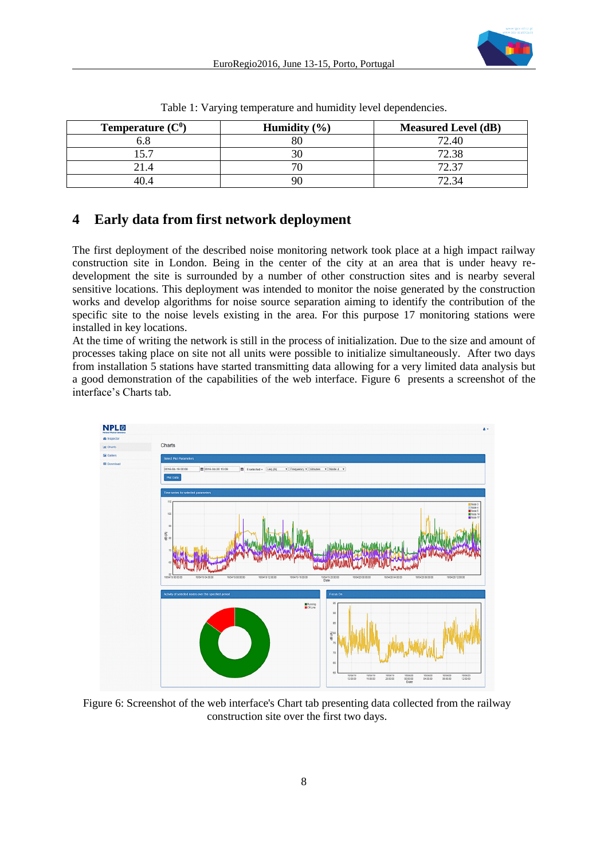

<span id="page-7-0"></span>

| <b>Temperature</b> $(C^0)$ | Humidity $(\% )$ | <b>Measured Level (dB)</b> |
|----------------------------|------------------|----------------------------|
|                            |                  | 72.40                      |
| 57                         |                  | 72.38                      |
| 21.4                       |                  | 72.37                      |
| 40 4                       | 90               |                            |

Table 1: Varying temperature and humidity level dependencies.

# **4 Early data from first network deployment**

The first deployment of the described noise monitoring network took place at a high impact railway construction site in London. Being in the center of the city at an area that is under heavy redevelopment the site is surrounded by a number of other construction sites and is nearby several sensitive locations. This deployment was intended to monitor the noise generated by the construction works and develop algorithms for noise source separation aiming to identify the contribution of the specific site to the noise levels existing in the area. For this purpose 17 monitoring stations were installed in key locations.

At the time of writing the network is still in the process of initialization. Due to the size and amount of processes taking place on site not all units were possible to initialize simultaneously. After two days from installation 5 stations have started transmitting data allowing for a very limited data analysis but a good demonstration of the capabilities of the web interface. [Figure 6](#page-7-1) presents a screenshot of the interface's Charts tab.



<span id="page-7-1"></span>Figure 6: Screenshot of the web interface's Chart tab presenting data collected from the railway construction site over the first two days.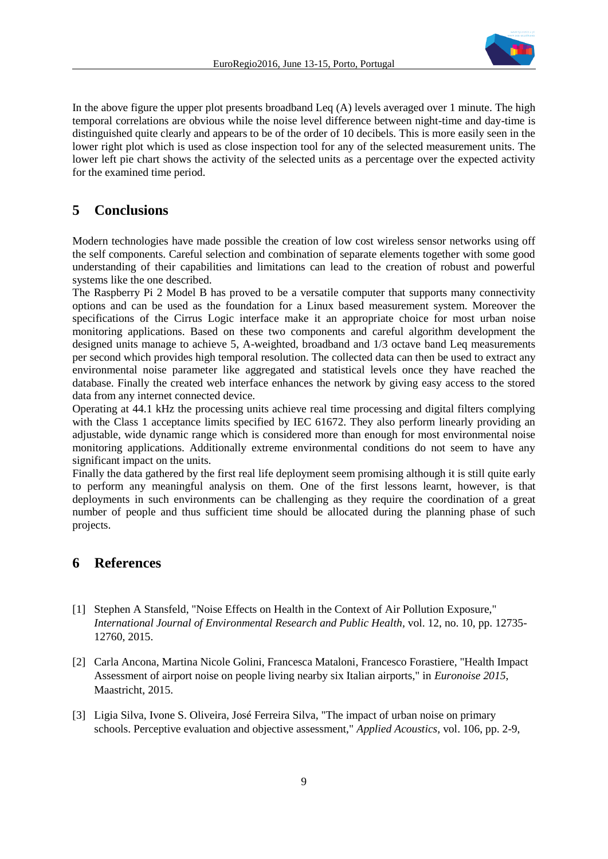

In the above figure the upper plot presents broadband Leq (A) levels averaged over 1 minute. The high temporal correlations are obvious while the noise level difference between night-time and day-time is distinguished quite clearly and appears to be of the order of 10 decibels. This is more easily seen in the lower right plot which is used as close inspection tool for any of the selected measurement units. The lower left pie chart shows the activity of the selected units as a percentage over the expected activity for the examined time period.

## **5 Conclusions**

Modern technologies have made possible the creation of low cost wireless sensor networks using off the self components. Careful selection and combination of separate elements together with some good understanding of their capabilities and limitations can lead to the creation of robust and powerful systems like the one described.

The Raspberry Pi 2 Model B has proved to be a versatile computer that supports many connectivity options and can be used as the foundation for a Linux based measurement system. Moreover the specifications of the Cirrus Logic interface make it an appropriate choice for most urban noise monitoring applications. Based on these two components and careful algorithm development the designed units manage to achieve 5, A-weighted, broadband and 1/3 octave band Leq measurements per second which provides high temporal resolution. The collected data can then be used to extract any environmental noise parameter like aggregated and statistical levels once they have reached the database. Finally the created web interface enhances the network by giving easy access to the stored data from any internet connected device.

Operating at 44.1 kHz the processing units achieve real time processing and digital filters complying with the Class 1 acceptance limits specified by IEC 61672. They also perform linearly providing an adjustable, wide dynamic range which is considered more than enough for most environmental noise monitoring applications. Additionally extreme environmental conditions do not seem to have any significant impact on the units.

Finally the data gathered by the first real life deployment seem promising although it is still quite early to perform any meaningful analysis on them. One of the first lessons learnt, however, is that deployments in such environments can be challenging as they require the coordination of a great number of people and thus sufficient time should be allocated during the planning phase of such projects.

## **6 References**

- [1] Stephen A Stansfeld, "Noise Effects on Health in the Context of Air Pollution Exposure," *International Journal of Environmental Research and Public Health,* vol. 12, no. 10, pp. 12735- 12760, 2015.
- [2] Carla Ancona, Martina Nicole Golini, Francesca Mataloni, Francesco Forastiere, "Health Impact Assessment of airport noise on people living nearby six Italian airports," in *Euronoise 2015*, Maastricht, 2015.
- [3] Ligia Silva, Ivone S. Oliveira, José Ferreira Silva, "The impact of urban noise on primary schools. Perceptive evaluation and objective assessment," *Applied Acoustics,* vol. 106, pp. 2-9,